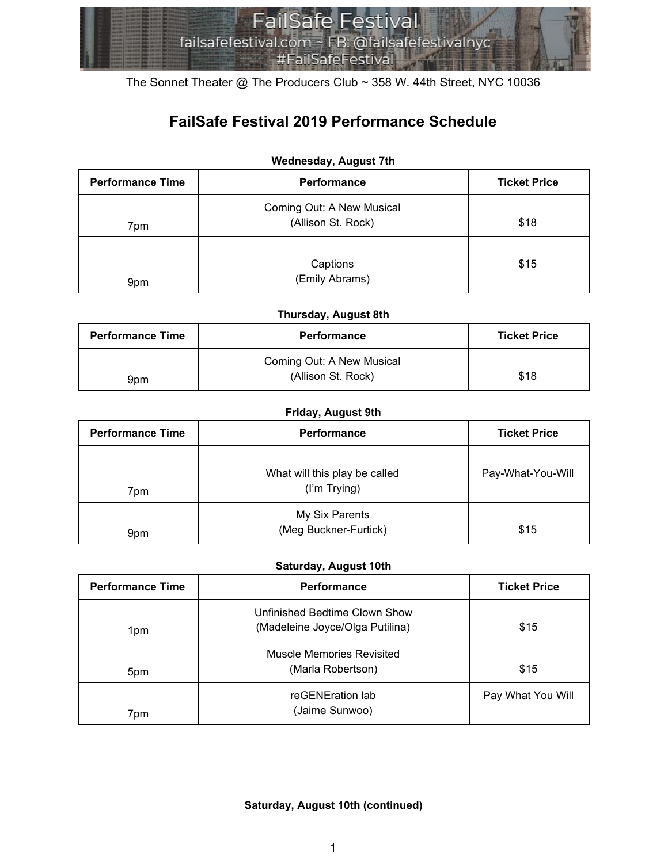

The Sonnet Theater @ The Producers Club ~ 358 W. 44th Street, NYC 10036

# **FailSafe Festival 2019 Performance Schedule**

| <b>Performance Time</b> | <b>Performance</b>                              | <b>Ticket Price</b> |
|-------------------------|-------------------------------------------------|---------------------|
| 7pm                     | Coming Out: A New Musical<br>(Allison St. Rock) | \$18                |
| 9pm                     | Captions<br>(Emily Abrams)                      | \$15                |

#### **Wednesday, August 7th**

#### **Thursday, August 8th**

| <b>Performance Time</b> | <b>Performance</b>        | <b>Ticket Price</b> |
|-------------------------|---------------------------|---------------------|
|                         | Coming Out: A New Musical |                     |
| 9pm                     | (Allison St. Rock)        | \$18                |

#### **Friday, August 9th**

| <b>Performance Time</b> | Performance                                   | <b>Ticket Price</b> |
|-------------------------|-----------------------------------------------|---------------------|
| 7pm                     | What will this play be called<br>(I'm Trying) | Pay-What-You-Will   |
| 9pm                     | My Six Parents<br>(Meg Buckner-Furtick)       | \$15                |

### **Saturday, August 10th**

| <b>Performance Time</b> | Performance                                                      | <b>Ticket Price</b> |
|-------------------------|------------------------------------------------------------------|---------------------|
| 1pm                     | Unfinished Bedtime Clown Show<br>(Madeleine Joyce/Olga Putilina) | \$15                |
| 5pm                     | Muscle Memories Revisited<br>(Marla Robertson)                   | \$15                |
| 7pm                     | reGENEration lab<br>(Jaime Sunwoo)                               | Pay What You Will   |

#### **Saturday, August 10th (continued)**